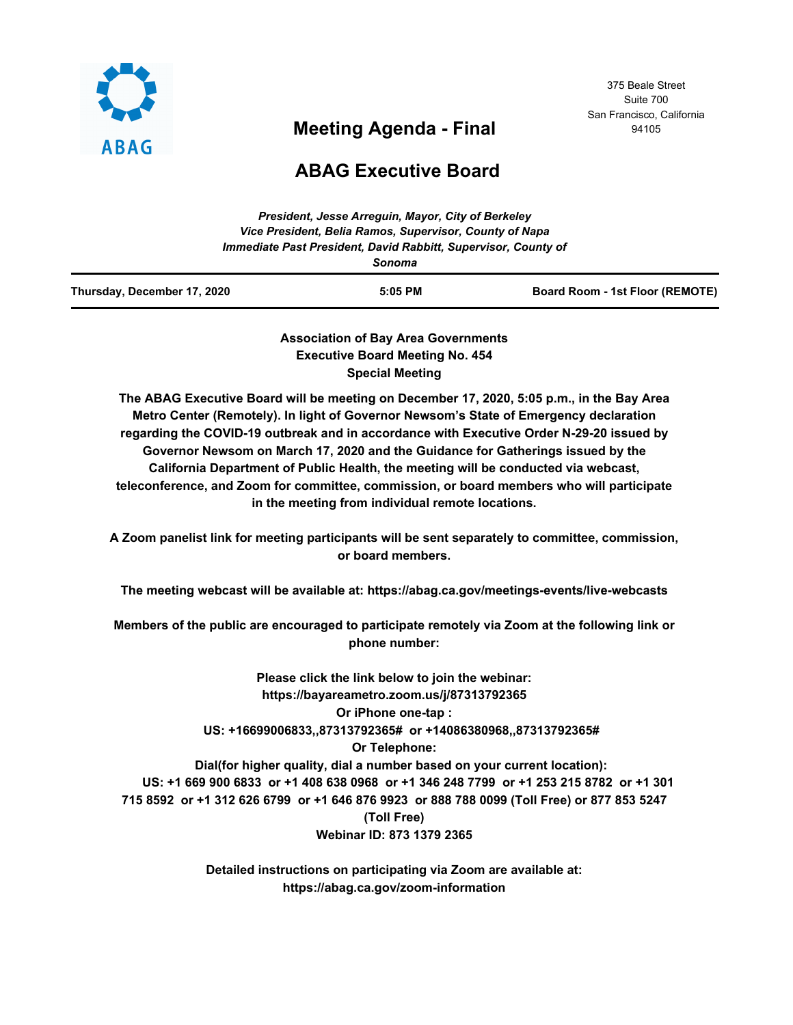

# **Meeting Agenda - Final**

375 Beale Street Suite 700 San Francisco, California 94105

## **ABAG Executive Board**

| Thursday, December 17, 2020 | $5:05$ PM                                                      | Board Room - 1st Floor (REMOTE) |
|-----------------------------|----------------------------------------------------------------|---------------------------------|
|                             | Sonoma                                                         |                                 |
|                             | Immediate Past President, David Rabbitt, Supervisor, County of |                                 |
|                             | Vice President, Belia Ramos, Supervisor, County of Napa        |                                 |
|                             | President, Jesse Arrequin, Mayor, City of Berkeley             |                                 |

**Association of Bay Area Governments Executive Board Meeting No. 454 Special Meeting**

**The ABAG Executive Board will be meeting on December 17, 2020, 5:05 p.m., in the Bay Area Metro Center (Remotely). In light of Governor Newsom's State of Emergency declaration regarding the COVID-19 outbreak and in accordance with Executive Order N-29-20 issued by Governor Newsom on March 17, 2020 and the Guidance for Gatherings issued by the California Department of Public Health, the meeting will be conducted via webcast, teleconference, and Zoom for committee, commission, or board members who will participate in the meeting from individual remote locations.**

**A Zoom panelist link for meeting participants will be sent separately to committee, commission, or board members.**

**The meeting webcast will be available at: https://abag.ca.gov/meetings-events/live-webcasts**

**Members of the public are encouraged to participate remotely via Zoom at the following link or phone number:**

**Please click the link below to join the webinar: https://bayareametro.zoom.us/j/87313792365 Or iPhone one-tap : US: +16699006833,,87313792365# or +14086380968,,87313792365# Or Telephone: Dial(for higher quality, dial a number based on your current location): US: +1 669 900 6833 or +1 408 638 0968 or +1 346 248 7799 or +1 253 215 8782 or +1 301 715 8592 or +1 312 626 6799 or +1 646 876 9923 or 888 788 0099 (Toll Free) or 877 853 5247 (Toll Free) Webinar ID: 873 1379 2365**

> **Detailed instructions on participating via Zoom are available at: https://abag.ca.gov/zoom-information**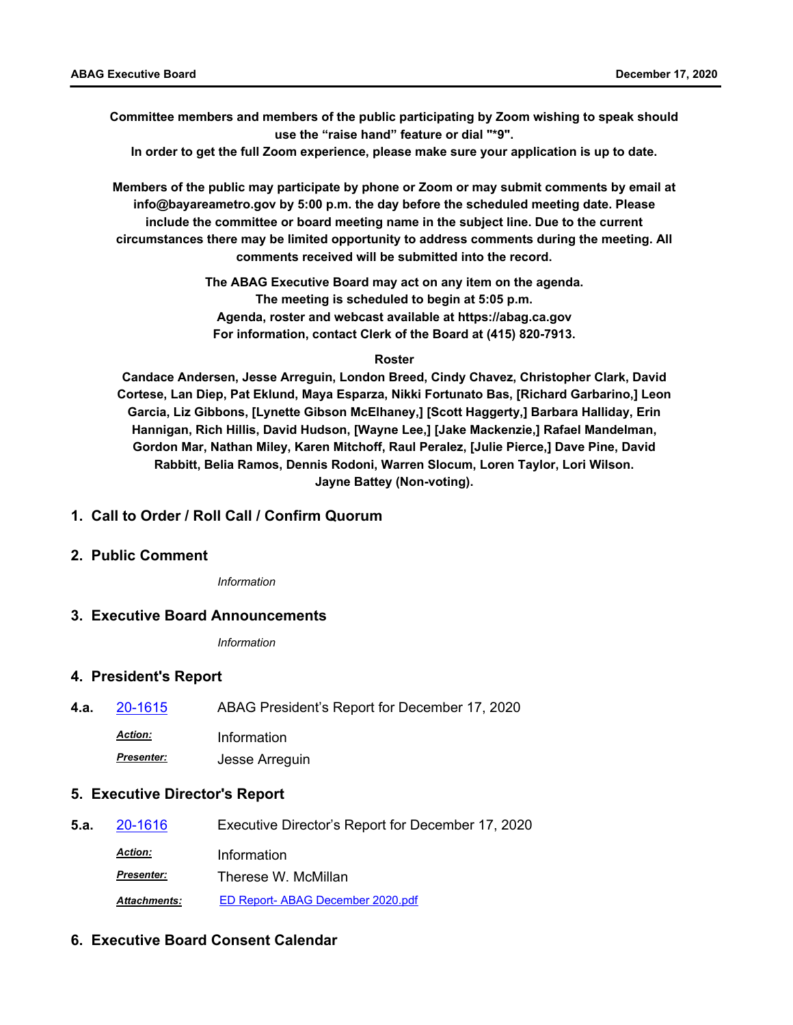**Committee members and members of the public participating by Zoom wishing to speak should use the "raise hand" feature or dial "\*9".**

**In order to get the full Zoom experience, please make sure your application is up to date.**

**Members of the public may participate by phone or Zoom or may submit comments by email at info@bayareametro.gov by 5:00 p.m. the day before the scheduled meeting date. Please include the committee or board meeting name in the subject line. Due to the current circumstances there may be limited opportunity to address comments during the meeting. All comments received will be submitted into the record.**

> **The ABAG Executive Board may act on any item on the agenda. The meeting is scheduled to begin at 5:05 p.m. Agenda, roster and webcast available at https://abag.ca.gov For information, contact Clerk of the Board at (415) 820-7913.**

#### **Roster**

**Candace Andersen, Jesse Arreguin, London Breed, Cindy Chavez, Christopher Clark, David Cortese, Lan Diep, Pat Eklund, Maya Esparza, Nikki Fortunato Bas, [Richard Garbarino,] Leon Garcia, Liz Gibbons, [Lynette Gibson McElhaney,] [Scott Haggerty,] Barbara Halliday, Erin Hannigan, Rich Hillis, David Hudson, [Wayne Lee,] [Jake Mackenzie,] Rafael Mandelman, Gordon Mar, Nathan Miley, Karen Mitchoff, Raul Peralez, [Julie Pierce,] Dave Pine, David Rabbitt, Belia Ramos, Dennis Rodoni, Warren Slocum, Loren Taylor, Lori Wilson. Jayne Battey (Non-voting).**

#### **1. Call to Order / Roll Call / Confirm Quorum**

### **2. Public Comment**

*Information*

#### **3. Executive Board Announcements**

*Information*

#### **4. President's Report**

**4.a.** [20-1615](http://mtc.legistar.com/gateway.aspx?m=l&id=/matter.aspx?key=21480) ABAG President's Report for December 17, 2020 *Action:* Information

*Presenter:* Jesse Arreguin

#### **5. Executive Director's Report**

| 5.a. | 20-1616             | Executive Director's Report for December 17, 2020 |
|------|---------------------|---------------------------------------------------|
|      | <b>Action:</b>      | Information                                       |
|      | <b>Presenter:</b>   | Therese W. McMillan                               |
|      | <b>Attachments:</b> | ED Report- ABAG December 2020.pdf                 |

#### **6. Executive Board Consent Calendar**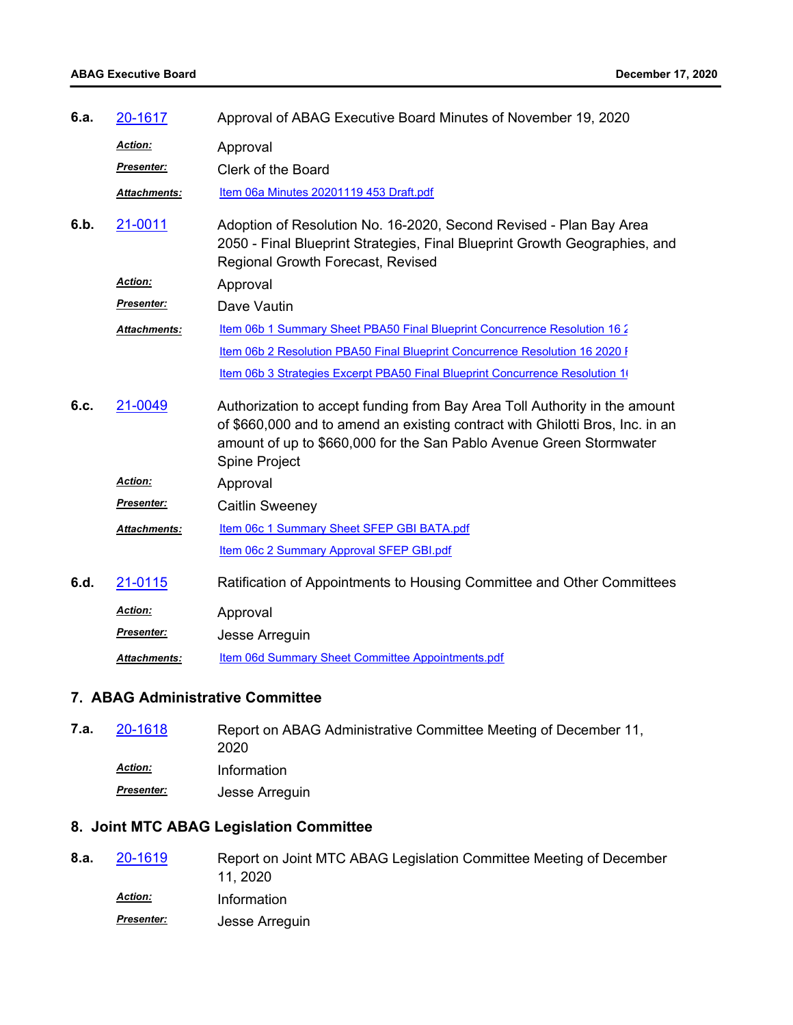| 6.a. | 20-1617           | Approval of ABAG Executive Board Minutes of November 19, 2020                                                                                                                                                                                       |
|------|-------------------|-----------------------------------------------------------------------------------------------------------------------------------------------------------------------------------------------------------------------------------------------------|
|      | Action:           | Approval                                                                                                                                                                                                                                            |
|      | Presenter:        | Clerk of the Board                                                                                                                                                                                                                                  |
|      | Attachments:      | Item 06a Minutes 20201119 453 Draft.pdf                                                                                                                                                                                                             |
| 6.b. | 21-0011           | Adoption of Resolution No. 16-2020, Second Revised - Plan Bay Area<br>2050 - Final Blueprint Strategies, Final Blueprint Growth Geographies, and<br>Regional Growth Forecast, Revised                                                               |
|      | Action:           | Approval                                                                                                                                                                                                                                            |
|      | <b>Presenter:</b> | Dave Vautin                                                                                                                                                                                                                                         |
|      | Attachments:      | Item 06b 1 Summary Sheet PBA50 Final Blueprint Concurrence Resolution 16 2                                                                                                                                                                          |
|      |                   | Item 06b 2 Resolution PBA50 Final Blueprint Concurrence Resolution 16 2020 I                                                                                                                                                                        |
|      |                   | Item 06b 3 Strategies Excerpt PBA50 Final Blueprint Concurrence Resolution 1                                                                                                                                                                        |
| 6.c. | 21-0049           | Authorization to accept funding from Bay Area Toll Authority in the amount<br>of \$660,000 and to amend an existing contract with Ghilotti Bros, Inc. in an<br>amount of up to \$660,000 for the San Pablo Avenue Green Stormwater<br>Spine Project |
|      | <b>Action:</b>    | Approval                                                                                                                                                                                                                                            |
|      | <b>Presenter:</b> | <b>Caitlin Sweeney</b>                                                                                                                                                                                                                              |
|      | Attachments:      | Item 06c 1 Summary Sheet SFEP GBI BATA.pdf                                                                                                                                                                                                          |
|      |                   | Item 06c 2 Summary Approval SFEP GBI.pdf                                                                                                                                                                                                            |
| 6.d. | 21-0115           | Ratification of Appointments to Housing Committee and Other Committees                                                                                                                                                                              |
|      | Action:           | Approval                                                                                                                                                                                                                                            |
|      | Presenter:        | Jesse Arreguin                                                                                                                                                                                                                                      |
|      | Attachments:      | Item 06d Summary Sheet Committee Appointments.pdf                                                                                                                                                                                                   |
|      |                   |                                                                                                                                                                                                                                                     |

## **7. ABAG Administrative Committee**

| 20-1618           | Report on ABAG Administrative Committee Meeting of December 11,<br>2020 |
|-------------------|-------------------------------------------------------------------------|
| <b>Action:</b>    | Information                                                             |
| <b>Presenter:</b> | Jesse Arreguin                                                          |
|                   |                                                                         |

## **8. Joint MTC ABAG Legislation Committee**

| 8.a. | 20-1619           | Report on Joint MTC ABAG Legislation Committee Meeting of December |
|------|-------------------|--------------------------------------------------------------------|
|      |                   | 11, 2020                                                           |
|      | <b>Action:</b>    | Information                                                        |
|      | <b>Presenter:</b> | Jesse Arreguin                                                     |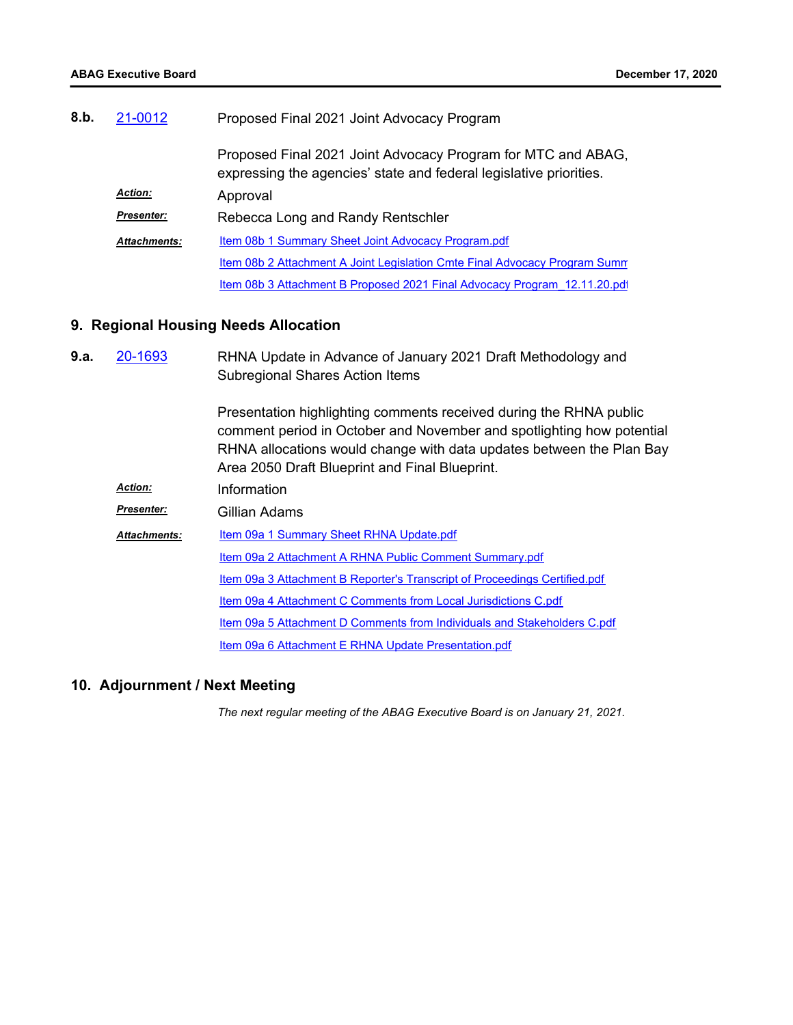| 8.b. | 21-0012             | Proposed Final 2021 Joint Advocacy Program                                                                                         |
|------|---------------------|------------------------------------------------------------------------------------------------------------------------------------|
|      |                     | Proposed Final 2021 Joint Advocacy Program for MTC and ABAG,<br>expressing the agencies' state and federal legislative priorities. |
|      | <b>Action:</b>      | Approval                                                                                                                           |
|      | <b>Presenter:</b>   | Rebecca Long and Randy Rentschler                                                                                                  |
|      | <b>Attachments:</b> | Item 08b 1 Summary Sheet Joint Advocacy Program.pdf                                                                                |
|      |                     | Item 08b 2 Attachment A Joint Legislation Cmte Final Advocacy Program Summ                                                         |
|      |                     | Item 08b 3 Attachment B Proposed 2021 Final Advocacy Program 12.11.20.pdf                                                          |

### **9. Regional Housing Needs Allocation**

| 9.a. | 20-1693             | RHNA Update in Advance of January 2021 Draft Methodology and<br><b>Subregional Shares Action Items</b>                                                                                                                                                                |
|------|---------------------|-----------------------------------------------------------------------------------------------------------------------------------------------------------------------------------------------------------------------------------------------------------------------|
|      |                     | Presentation highlighting comments received during the RHNA public<br>comment period in October and November and spotlighting how potential<br>RHNA allocations would change with data updates between the Plan Bay<br>Area 2050 Draft Blueprint and Final Blueprint. |
|      | <b>Action:</b>      | Information                                                                                                                                                                                                                                                           |
|      | <b>Presenter:</b>   | Gillian Adams                                                                                                                                                                                                                                                         |
|      | <b>Attachments:</b> | Item 09a 1 Summary Sheet RHNA Update.pdf                                                                                                                                                                                                                              |
|      |                     | Item 09a 2 Attachment A RHNA Public Comment Summary.pdf                                                                                                                                                                                                               |
|      |                     | Item 09a 3 Attachment B Reporter's Transcript of Proceedings Certified.pdf                                                                                                                                                                                            |
|      |                     | Item 09a 4 Attachment C Comments from Local Jurisdictions C.pdf                                                                                                                                                                                                       |
|      |                     | Item 09a 5 Attachment D Comments from Individuals and Stakeholders C.pdf                                                                                                                                                                                              |
|      |                     | Item 09a 6 Attachment E RHNA Update Presentation.pdf                                                                                                                                                                                                                  |

## **10. Adjournment / Next Meeting**

*The next regular meeting of the ABAG Executive Board is on January 21, 2021.*